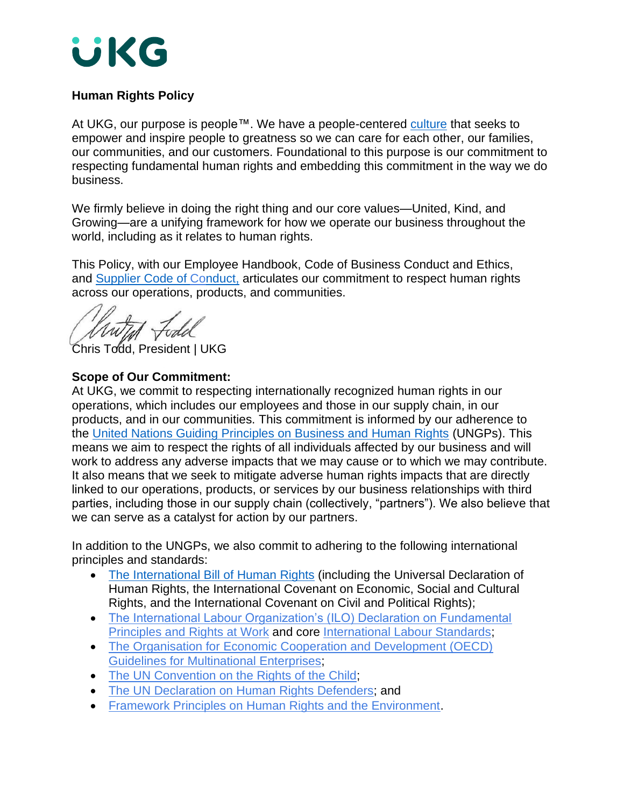

# **Human Rights Policy**

At UKG, our purpose is people™. We have a people-centered [culture](https://www.ukg.com/resources/the-promise-of-ukg.pdf) that seeks to empower and inspire people to greatness so we can care for each other, our families, our communities, and our customers. Foundational to this purpose is our commitment to respecting fundamental human rights and embedding this commitment in the way we do business.

We firmly believe in doing the right thing and our core values—United, Kind, and Growing—are a unifying framework for how we operate our business throughout the world, including as it relates to human rights.

This Policy, with our Employee Handbook, Code of Business Conduct and Ethics, and [Supplier Code](https://www.ukg.com/sites/default/files/media/files/UKG-Supplier-Code-of-Conduct-October-26-2020.pdf) of Conduct, articulates our commitment to respect human rights across our operations, products, and communities.

Chris Todd, President | UKG

## **Scope of Our Commitment:**

At UKG, we commit to respecting internationally recognized human rights in our operations, which includes our employees and those in our supply chain, in our products, and in our communities. This commitment is informed by our adherence to the [United Nations Guiding Principles on Business and Human Rights](https://www.ohchr.org/documents/publications/guidingprinciplesbusinesshr_en.pdf) (UNGPs). This means we aim to respect the rights of all individuals affected by our business and will work to address any adverse impacts that we may cause or to which we may contribute. It also means that we seek to mitigate adverse human rights impacts that are directly linked to our operations, products, or services by our business relationships with third parties, including those in our supply chain (collectively, "partners"). We also believe that we can serve as a catalyst for action by our partners.

In addition to the UNGPs, we also commit to adhering to the following international principles and standards:

- [The International Bill of](https://www.ohchr.org/Documents/Publications/FactSheet2Rev.1en.pdf) Human Rights (including the Universal Declaration of Human Rights, the International Covenant on Economic, Social and Cultural Rights, and the International Covenant on Civil and Political Rights);
- The International Labour Organization's (ILO) Declaration on Fundamental [Principles and Rights at Work](https://www.ilo.org/declaration/lang--en/index.htm) and core [International Labour Standards;](https://www.ilo.org/global/standards/lang--en/index.htm)
- [The Organisation for Economic Cooperation and Development \(OECD\)](https://www.oecd.org/daf/inv/mne/48004323.pdf)  [Guidelines for Multinational Enterprises;](https://www.oecd.org/daf/inv/mne/48004323.pdf)
- [The UN Convention on the Rights of the Child;](https://www.ohchr.org/en/professionalinterest/pages/crc.aspx)
- The UN Declaration on [Human Rights Defenders;](https://www.ohchr.org/en/issues/srhrdefenders/pages/declaration.aspx) and
- [Framework Principles on Human Rights and the Environment.](https://www.ohchr.org/en/issues/environment/srenvironment/pages/frameworkprinciplesreport.aspx)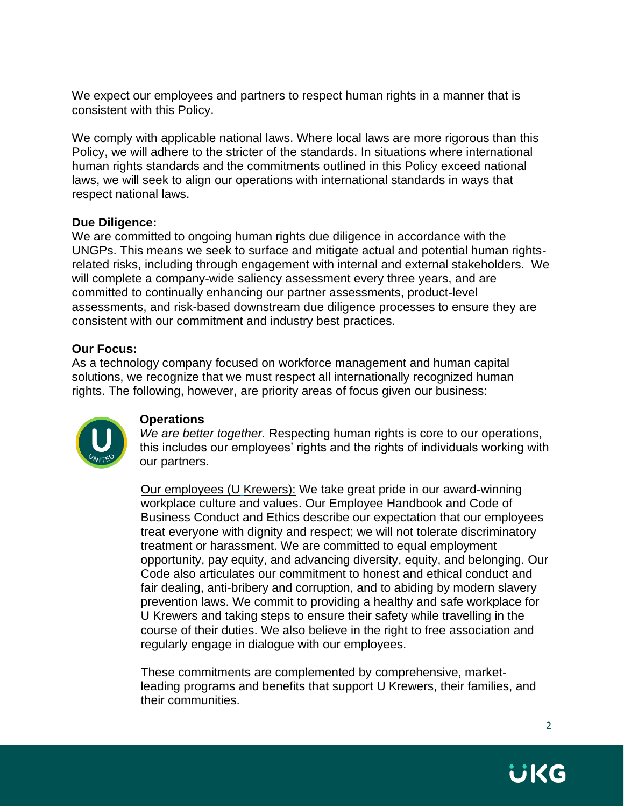We expect our employees and partners to respect human rights in a manner that is consistent with this Policy.

We comply with applicable national laws. Where local laws are more rigorous than this Policy, we will adhere to the stricter of the standards. In situations where international human rights standards and the commitments outlined in this Policy exceed national laws, we will seek to align our operations with international standards in ways that respect national laws.

## **Due Diligence:**

We are committed to ongoing human rights due diligence in accordance with the UNGPs. This means we seek to surface and mitigate actual and potential human rightsrelated risks, including through engagement with internal and external stakeholders. We will complete a company-wide saliency assessment every three years, and are committed to continually enhancing our partner assessments, product-level assessments, and risk-based downstream due diligence processes to ensure they are consistent with our commitment and industry best practices.

## **Our Focus:**

As a technology company focused on workforce management and human capital solutions, we recognize that we must respect all internationally recognized human rights. The following, however, are priority areas of focus given our business:



## **Operations**

*We are better together.* Respecting human rights is core to our operations, this includes our employees' rights and the rights of individuals working with our partners.

Our employees (U Krewers): We take great pride in our award-winning workplace culture and values. Our Employee Handbook and Code of Business Conduct and Ethics describe our expectation that our employees treat everyone with dignity and respect; we will not tolerate discriminatory treatment or harassment. We are committed to equal employment opportunity, pay equity, and advancing diversity, equity, and belonging. Our Code also articulates our commitment to honest and ethical conduct and fair dealing, anti-bribery and corruption, and to abiding by modern slavery prevention laws. We commit to providing a healthy and safe workplace for U Krewers and taking steps to ensure their safety while travelling in the course of their duties. We also believe in the right to free association and regularly engage in dialogue with our employees.

These commitments are complemented by comprehensive, marketleading programs and benefits that support U Krewers, their families, and their communities.

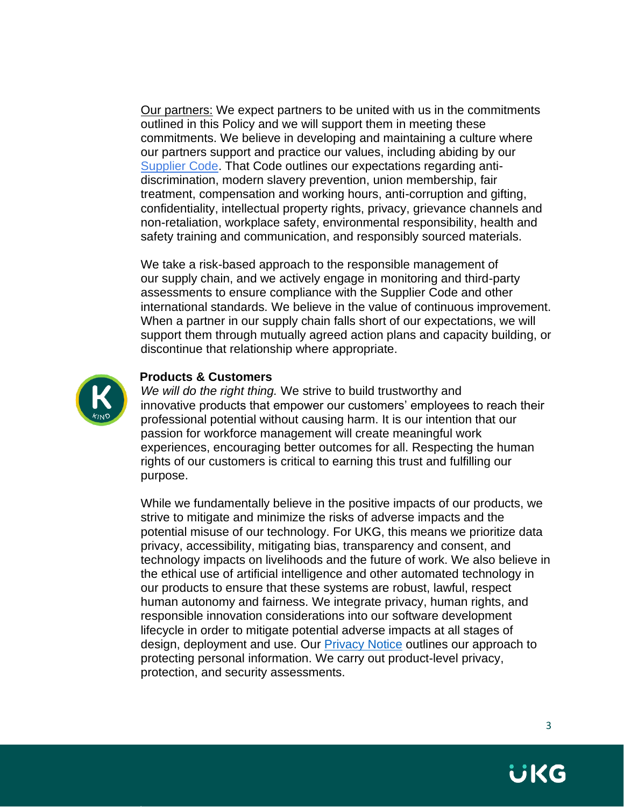Our partners: We expect partners to be united with us in the commitments outlined in this Policy and we will support them in meeting these commitments. We believe in developing and maintaining a culture where our partners support and practice our values, including abiding by our [Supplier Code.](https://www.ukg.com/sites/default/files/media/files/UKG-Supplier-Code-of-Conduct-October-26-2020.pdf) That Code outlines our expectations regarding antidiscrimination, modern slavery prevention, union membership, fair treatment, compensation and working hours, anti-corruption and gifting, confidentiality, intellectual property rights, privacy, grievance channels and non-retaliation, workplace safety, environmental responsibility, health and safety training and communication, and responsibly sourced materials.

We take a risk-based approach to the responsible management of our supply chain, and we actively engage in monitoring and third-party assessments to ensure compliance with the Supplier Code and other international standards. We believe in the value of continuous improvement. When a partner in our supply chain falls short of our expectations, we will support them through mutually agreed action plans and capacity building, or discontinue that relationship where appropriate.



#### **Products & Customers**

*We will do the right thing.* We strive to build trustworthy and innovative products that empower our customers' employees to reach their professional potential without causing harm. It is our intention that our passion for workforce management will create meaningful work experiences, encouraging better outcomes for all. Respecting the human rights of our customers is critical to earning this trust and fulfilling our purpose.

While we fundamentally believe in the positive impacts of our products, we strive to mitigate and minimize the risks of adverse impacts and the potential misuse of our technology. For UKG, this means we prioritize data privacy, accessibility, mitigating bias, transparency and consent, and technology impacts on livelihoods and the future of work. We also believe in the ethical use of artificial intelligence and other automated technology in our products to ensure that these systems are robust, lawful, respect human autonomy and fairness. We integrate privacy, human rights, and responsible innovation considerations into our software development lifecycle in order to mitigate potential adverse impacts at all stages of design, deployment and use. Our [Privacy Notice](https://www.ukg.com/privacy) outlines our approach to protecting personal information. We carry out product-level privacy, protection, and security assessments.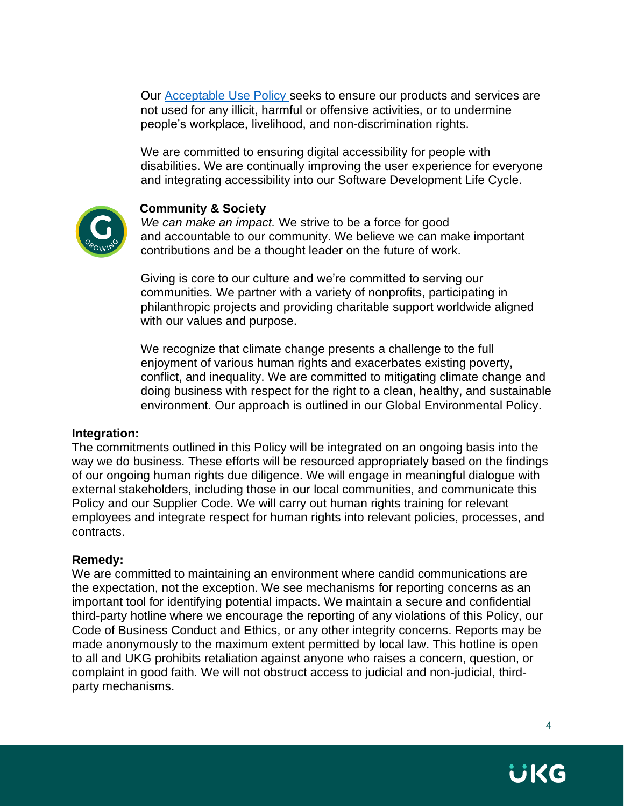Our [Acceptable Use Policy](https://www.kronos.com/policies/acceptable-use) seeks to ensure our products and services are not used for any illicit, harmful or offensive activities, or to undermine people's workplace, livelihood, and non-discrimination rights.

We are committed to ensuring digital accessibility for people with disabilities. We are continually improving the user experience for everyone and integrating accessibility into our Software Development Life Cycle.



## **Community & Society**

*We can make an impact.* We strive to be a force for good and accountable to our community. We believe we can make important contributions and be a thought leader on the future of work.

Giving is core to our culture and we're committed to serving our communities. We partner with a variety of nonprofits, participating in philanthropic projects and providing charitable support worldwide aligned with our values and purpose.

We recognize that climate change presents a challenge to the full enjoyment of various human rights and exacerbates existing poverty, conflict, and inequality. We are committed to mitigating climate change and doing business with respect for the right to a clean, healthy, and sustainable environment. Our approach is outlined in our Global Environmental Policy.

#### **Integration:**

The commitments outlined in this Policy will be integrated on an ongoing basis into the way we do business. These efforts will be resourced appropriately based on the findings of our ongoing human rights due diligence. We will engage in meaningful dialogue with external stakeholders, including those in our local communities, and communicate this Policy and our Supplier Code. We will carry out human rights training for relevant employees and integrate respect for human rights into relevant policies, processes, and contracts.

#### **Remedy:**

We are committed to maintaining an environment where candid communications are the expectation, not the exception. We see mechanisms for reporting concerns as an important tool for identifying potential impacts. We maintain a secure and confidential third-party hotline where we encourage the reporting of any violations of this Policy, our Code of Business Conduct and Ethics, or any other integrity concerns. Reports may be made anonymously to the maximum extent permitted by local law. This hotline is open to all and UKG prohibits retaliation against anyone who raises a concern, question, or complaint in good faith. We will not obstruct access to judicial and non-judicial, thirdparty mechanisms.